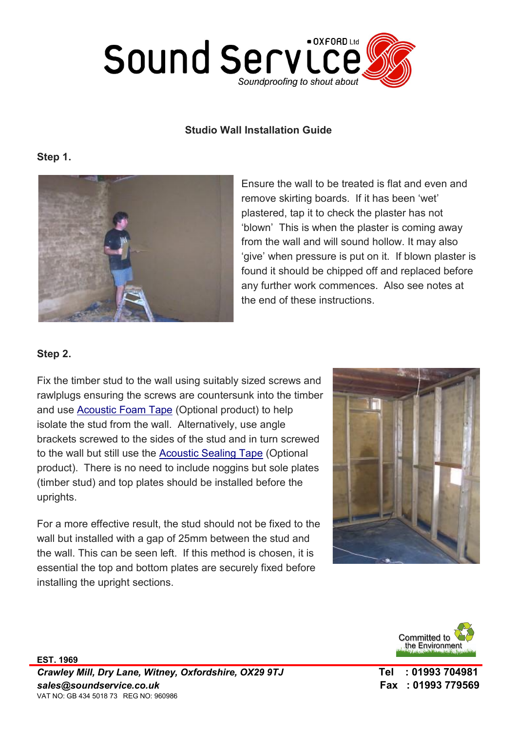

#### Studio Wall Installation Guide

#### Step 1.



Ensure the wall to be treated is flat and even and remove skirting boards. If it has been 'wet' plastered, tap it to check the plaster has not 'blown' This is when the plaster is coming away from the wall and will sound hollow. It may also 'give' when pressure is put on it. If blown plaster is found it should be chipped off and replaced before any further work commences. Also see notes at the end of these instructions.

### Step 2.

Fix the timber stud to the wall using suitably sized screws and rawlplugs ensuring the screws are countersunk into the timber and use Acoustic Foam Tape (Optional product) to help isolate the stud from the wall. Alternatively, use angle brackets screwed to the sides of the stud and in turn screwed to the wall but still use the Acoustic Sealing Tape (Optional product). There is no need to include noggins but sole plates (timber stud) and top plates should be installed before the uprights.

For a more effective result, the stud should not be fixed to the wall but installed with a gap of 25mm between the stud and the wall. This can be seen left. If this method is chosen, it is essential the top and bottom plates are securely fixed before installing the upright sections.



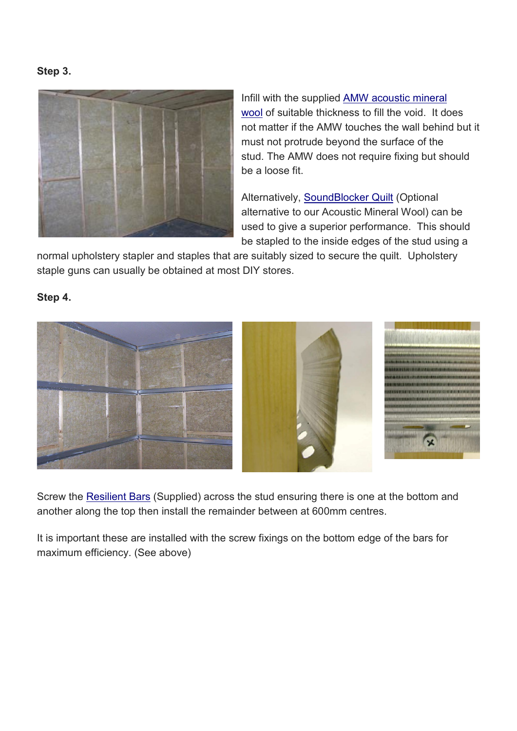#### Step 3.



Infill with the supplied AMW acoustic mineral wool of suitable thickness to fill the void. It does not matter if the AMW touches the wall behind but it must not protrude beyond the surface of the stud. The AMW does not require fixing but should be a loose fit.

Alternatively, SoundBlocker Quilt (Optional alternative to our Acoustic Mineral Wool) can be used to give a superior performance. This should be stapled to the inside edges of the stud using a

normal upholstery stapler and staples that are suitably sized to secure the quilt. Upholstery staple guns can usually be obtained at most DIY stores.

## Step 4.



Screw the Resilient Bars (Supplied) across the stud ensuring there is one at the bottom and another along the top then install the remainder between at 600mm centres.

It is important these are installed with the screw fixings on the bottom edge of the bars for maximum efficiency. (See above)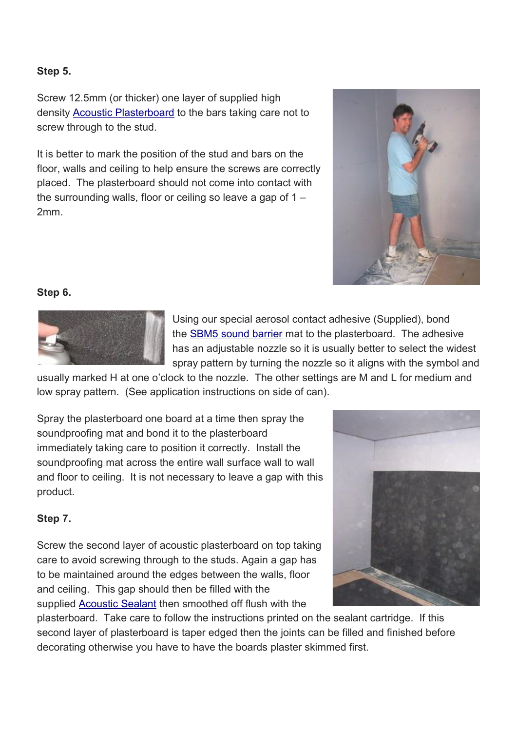# Step 5.

Screw 12.5mm (or thicker) one layer of supplied high density Acoustic Plasterboard to the bars taking care not to screw through to the stud.

It is better to mark the position of the stud and bars on the floor, walls and ceiling to help ensure the screws are correctly placed. The plasterboard should not come into contact with the surrounding walls, floor or ceiling so leave a gap of  $1 -$ 2mm.



# Step 6.



Using our special aerosol contact adhesive (Supplied), bond the SBM5 sound barrier mat to the plasterboard. The adhesive has an adjustable nozzle so it is usually better to select the widest spray pattern by turning the nozzle so it aligns with the symbol and

usually marked H at one o'clock to the nozzle. The other settings are M and L for medium and low spray pattern. (See application instructions on side of can).

Spray the plasterboard one board at a time then spray the soundproofing mat and bond it to the plasterboard immediately taking care to position it correctly. Install the soundproofing mat across the entire wall surface wall to wall and floor to ceiling. It is not necessary to leave a gap with this product.

## Step 7.

Screw the second layer of acoustic plasterboard on top taking care to avoid screwing through to the studs. Again a gap has to be maintained around the edges between the walls, floor and ceiling. This gap should then be filled with the supplied Acoustic Sealant then smoothed off flush with the



plasterboard. Take care to follow the instructions printed on the sealant cartridge. If this second layer of plasterboard is taper edged then the joints can be filled and finished before decorating otherwise you have to have the boards plaster skimmed first.